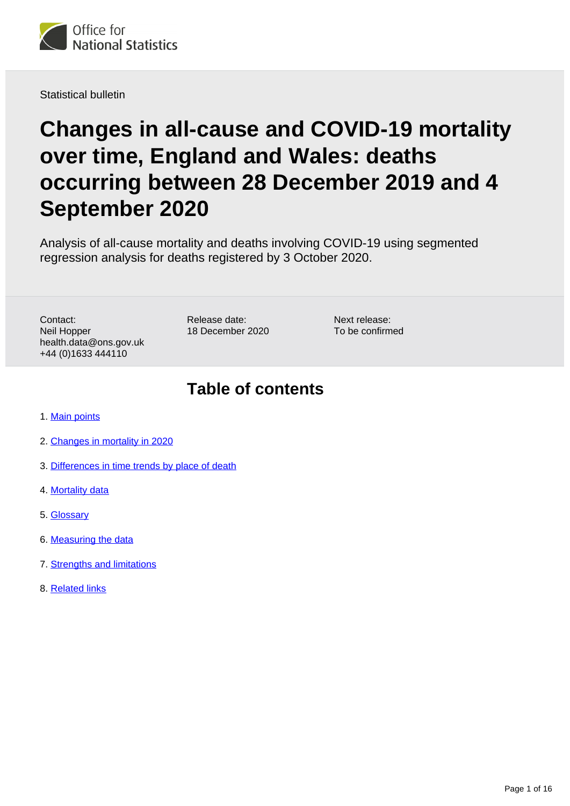

Statistical bulletin

# **Changes in all-cause and COVID-19 mortality over time, England and Wales: deaths occurring between 28 December 2019 and 4 September 2020**

Analysis of all-cause mortality and deaths involving COVID-19 using segmented regression analysis for deaths registered by 3 October 2020.

Contact: Neil Hopper health.data@ons.gov.uk +44 (0)1633 444110

Release date: 18 December 2020

Next release: To be confirmed

## **Table of contents**

- 1. [Main points](#page-1-0)
- 2. [Changes in mortality in 2020](#page-1-1)
- 3. [Differences in time trends by place of death](#page-9-0)
- 4. [Mortality data](#page-12-0)
- 5. [Glossary](#page-12-1)
- 6. [Measuring the data](#page-13-0)
- 7. [Strengths and limitations](#page-14-0)
- 8. [Related links](#page-15-0)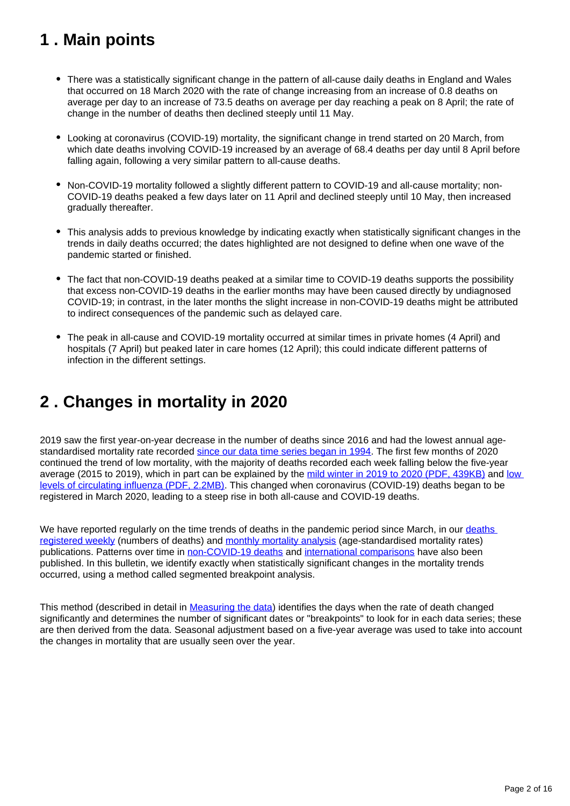## <span id="page-1-0"></span>**1 . Main points**

- There was a statistically significant change in the pattern of all-cause daily deaths in England and Wales that occurred on 18 March 2020 with the rate of change increasing from an increase of 0.8 deaths on average per day to an increase of 73.5 deaths on average per day reaching a peak on 8 April; the rate of change in the number of deaths then declined steeply until 11 May.
- Looking at coronavirus (COVID-19) mortality, the significant change in trend started on 20 March, from which date deaths involving COVID-19 increased by an average of 68.4 deaths per day until 8 April before falling again, following a very similar pattern to all-cause deaths.
- Non-COVID-19 mortality followed a slightly different pattern to COVID-19 and all-cause mortality; non-COVID-19 deaths peaked a few days later on 11 April and declined steeply until 10 May, then increased gradually thereafter.
- This analysis adds to previous knowledge by indicating exactly when statistically significant changes in the trends in daily deaths occurred; the dates highlighted are not designed to define when one wave of the pandemic started or finished.
- The fact that non-COVID-19 deaths peaked at a similar time to COVID-19 deaths supports the possibility that excess non-COVID-19 deaths in the earlier months may have been caused directly by undiagnosed COVID-19; in contrast, in the later months the slight increase in non-COVID-19 deaths might be attributed to indirect consequences of the pandemic such as delayed care.
- The peak in all-cause and COVID-19 mortality occurred at similar times in private homes (4 April) and hospitals (7 April) but peaked later in care homes (12 April); this could indicate different patterns of infection in the different settings.

## <span id="page-1-1"></span>**2 . Changes in mortality in 2020**

2019 saw the first year-on-year decrease in the number of deaths since 2016 and had the lowest annual agestandardised mortality rate recorded [since our data time series began in 1994.](https://www.ons.gov.uk/peoplepopulationandcommunity/birthsdeathsandmarriages/deaths/datasets/deathsregisteredinenglandandwalesseriesdrreferencetables) The first few months of 2020 continued the trend of low mortality, with the majority of deaths recorded each week falling below the five-year average (2015 to 2019), which in part can be explained by the [mild winter in 2019 to 2020 \(PDF, 439KB\)](https://www.metoffice.gov.uk/binaries/content/assets/metofficegovuk/pdf/weather/learn-about/uk-past-events/summaries/uk_monthly_climate_summary_winter_2020.pdf) and low [levels of circulating influenza \(PDF, 2.2MB\)](https://assets.publishing.service.gov.uk/government/uploads/system/uploads/attachment_data/file/895233/Surveillance_Influenza_and_other_respiratory_viruses_in_the_UK_2019_to_2020_FINAL.pdf). This changed when coronavirus (COVID-19) deaths began to be registered in March 2020, leading to a steep rise in both all-cause and COVID-19 deaths.

We have reported regularly on the time trends of [deaths](https://www.ons.gov.uk/peoplepopulationandcommunity/birthsdeathsandmarriages/deaths/bulletins/deathsregisteredweeklyinenglandandwalesprovisional/latest) in the pandemic period since March, in our deaths [registered weekly](https://www.ons.gov.uk/peoplepopulationandcommunity/birthsdeathsandmarriages/deaths/bulletins/deathsregisteredweeklyinenglandandwalesprovisional/latest) (numbers of deaths) and [monthly mortality analysis](https://www.ons.gov.uk/peoplepopulationandcommunity/birthsdeathsandmarriages/deaths/bulletins/monthlymortalityanalysisenglandandwales/october2020) (age-standardised mortality rates) publications. Patterns over time in [non-COVID-19 deaths](https://www.ons.gov.uk/peoplepopulationandcommunity/birthsdeathsandmarriages/deaths/articles/analysisofdeathregistrationsnotinvolvingcoronaviruscovid19englandandwales28december2019to1may2020/28december2019to10july2020) and [international comparisons](https://www.ons.gov.uk/peoplepopulationandcommunity/birthsdeathsandmarriages/deaths/articles/comparisonsofallcausemortalitybetweeneuropeancountriesandregions/januarytojune2020) have also been published. In this bulletin, we identify exactly when statistically significant changes in the mortality trends occurred, using a method called segmented breakpoint analysis.

This method (described in detail in [Measuring the data\)](https://www.ons.gov.uk/peoplepopulationandcommunity/birthsdeathsandmarriages/deaths/bulletins/changesinallcauseandcovid19mortalityovertimeenglandandwales/deathsoccurringbetween28december2019and4september2020#measuring-the-data) identifies the days when the rate of death changed significantly and determines the number of significant dates or "breakpoints" to look for in each data series; these are then derived from the data. Seasonal adjustment based on a five-year average was used to take into account the changes in mortality that are usually seen over the year.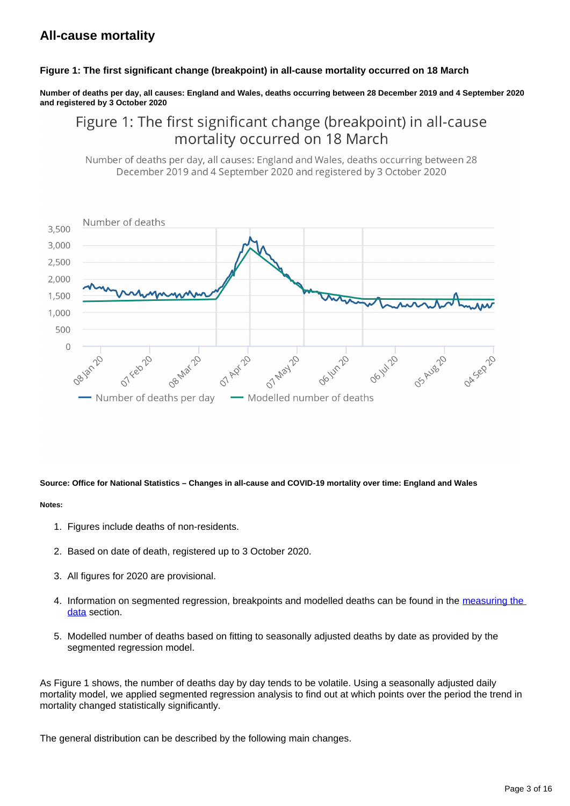### **All-cause mortality**

#### **Figure 1: The first significant change (breakpoint) in all-cause mortality occurred on 18 March**

**Number of deaths per day, all causes: England and Wales, deaths occurring between 28 December 2019 and 4 September 2020 and registered by 3 October 2020**

### Figure 1: The first significant change (breakpoint) in all-cause mortality occurred on 18 March

Number of deaths per day, all causes: England and Wales, deaths occurring between 28 December 2019 and 4 September 2020 and registered by 3 October 2020



#### **Source: Office for National Statistics – Changes in all-cause and COVID-19 mortality over time: England and Wales**

#### **Notes:**

- 1. Figures include deaths of non-residents.
- 2. Based on date of death, registered up to 3 October 2020.
- 3. All figures for 2020 are provisional.
- 4. Information on segmented regression, breakpoints and modelled deaths can be found in the measuring the data section.
- 5. Modelled number of deaths based on fitting to seasonally adjusted deaths by date as provided by the segmented regression model.

As Figure 1 shows, the number of deaths day by day tends to be volatile. Using a seasonally adjusted daily mortality model, we applied segmented regression analysis to find out at which points over the period the trend in mortality changed statistically significantly.

The general distribution can be described by the following main changes.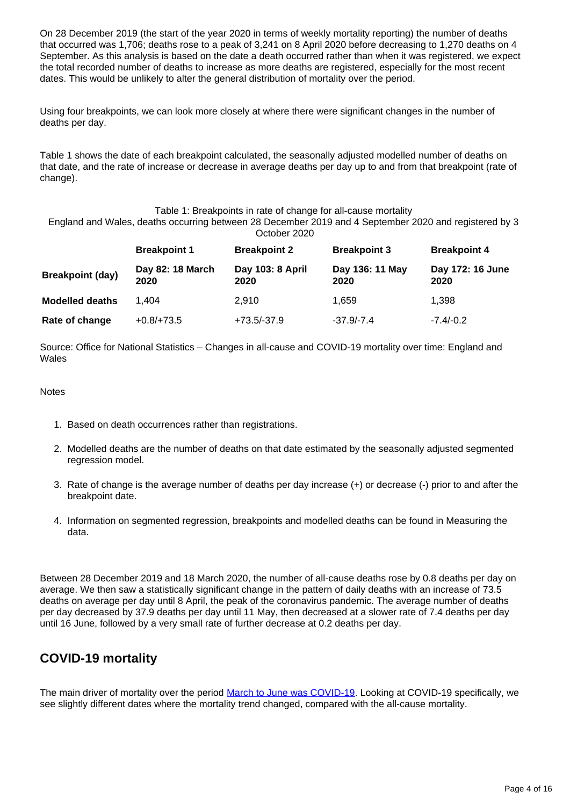On 28 December 2019 (the start of the year 2020 in terms of weekly mortality reporting) the number of deaths that occurred was 1,706; deaths rose to a peak of 3,241 on 8 April 2020 before decreasing to 1,270 deaths on 4 September. As this analysis is based on the date a death occurred rather than when it was registered, we expect the total recorded number of deaths to increase as more deaths are registered, especially for the most recent dates. This would be unlikely to alter the general distribution of mortality over the period.

Using four breakpoints, we can look more closely at where there were significant changes in the number of deaths per day.

Table 1 shows the date of each breakpoint calculated, the seasonally adjusted modelled number of deaths on that date, and the rate of increase or decrease in average deaths per day up to and from that breakpoint (rate of change).

#### Table 1: Breakpoints in rate of change for all-cause mortality

England and Wales, deaths occurring between 28 December 2019 and 4 September 2020 and registered by 3 October 2020

|                         | <b>Breakpoint 1</b>      | <b>Breakpoint 2</b>      | <b>Breakpoint 3</b>     | <b>Breakpoint 4</b>      |  |  |
|-------------------------|--------------------------|--------------------------|-------------------------|--------------------------|--|--|
| <b>Breakpoint (day)</b> | Day 82: 18 March<br>2020 | Day 103: 8 April<br>2020 | Day 136: 11 May<br>2020 | Day 172: 16 June<br>2020 |  |  |
| <b>Modelled deaths</b>  | 1.404                    | 2.910                    | 1.659                   | 1,398                    |  |  |
| Rate of change          | $+0.8/+73.5$             | +73.5/-37.9              | $-37.9/-7.4$            | $-7.4/-0.2$              |  |  |

Source: Office for National Statistics – Changes in all-cause and COVID-19 mortality over time: England and Wales

#### **Notes**

- 1. Based on death occurrences rather than registrations.
- 2. Modelled deaths are the number of deaths on that date estimated by the seasonally adjusted segmented regression model.
- 3. Rate of change is the average number of deaths per day increase (+) or decrease (-) prior to and after the breakpoint date.
- 4. Information on segmented regression, breakpoints and modelled deaths can be found in Measuring the data.

Between 28 December 2019 and 18 March 2020, the number of all-cause deaths rose by 0.8 deaths per day on average. We then saw a statistically significant change in the pattern of daily deaths with an increase of 73.5 deaths on average per day until 8 April, the peak of the coronavirus pandemic. The average number of deaths per day decreased by 37.9 deaths per day until 11 May, then decreased at a slower rate of 7.4 deaths per day until 16 June, followed by a very small rate of further decrease at 0.2 deaths per day.

### **COVID-19 mortality**

The main driver of mortality over the period [March to June was COVID-19.](https://www.ons.gov.uk/peoplepopulationandcommunity/birthsdeathsandmarriages/deaths/bulletins/deathsinvolvingcovid19englandandwales/deathsoccurringinjune2020#comparing-covid-19-to-other-causes-of-death) Looking at COVID-19 specifically, we see slightly different dates where the mortality trend changed, compared with the all-cause mortality.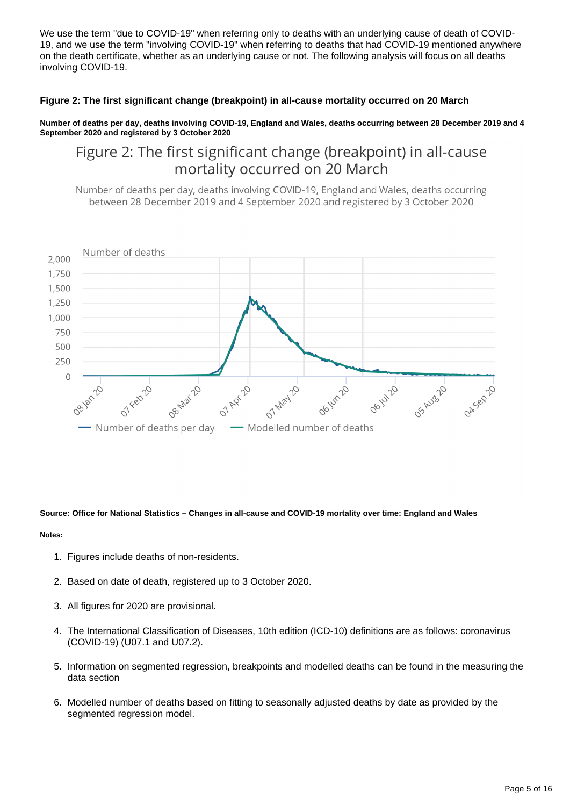We use the term "due to COVID-19" when referring only to deaths with an underlying cause of death of COVID-19, and we use the term "involving COVID-19" when referring to deaths that had COVID-19 mentioned anywhere on the death certificate, whether as an underlying cause or not. The following analysis will focus on all deaths involving COVID-19.

#### **Figure 2: The first significant change (breakpoint) in all-cause mortality occurred on 20 March**

**Number of deaths per day, deaths involving COVID-19, England and Wales, deaths occurring between 28 December 2019 and 4 September 2020 and registered by 3 October 2020**

### Figure 2: The first significant change (breakpoint) in all-cause mortality occurred on 20 March

Number of deaths per day, deaths involving COVID-19, England and Wales, deaths occurring between 28 December 2019 and 4 September 2020 and registered by 3 October 2020



#### **Source: Office for National Statistics – Changes in all-cause and COVID-19 mortality over time: England and Wales**

**Notes:**

- 1. Figures include deaths of non-residents.
- 2. Based on date of death, registered up to 3 October 2020.
- 3. All figures for 2020 are provisional.
- 4. The International Classification of Diseases, 10th edition (ICD-10) definitions are as follows: coronavirus (COVID-19) (U07.1 and U07.2).
- 5. Information on segmented regression, breakpoints and modelled deaths can be found in the measuring the data section
- 6. Modelled number of deaths based on fitting to seasonally adjusted deaths by date as provided by the segmented regression model.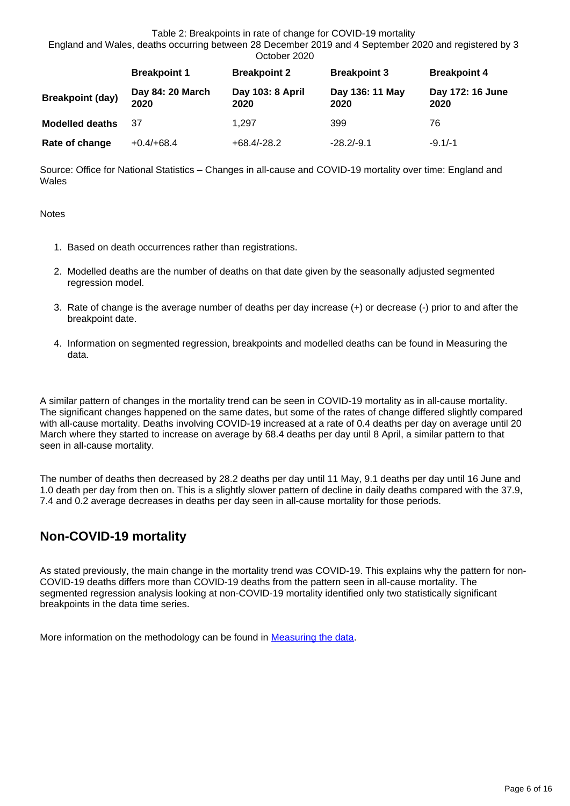#### Table 2: Breakpoints in rate of change for COVID-19 mortality

England and Wales, deaths occurring between 28 December 2019 and 4 September 2020 and registered by 3 October 2020

|                         | <b>Breakpoint 1</b>      | <b>Breakpoint 2</b>      | <b>Breakpoint 3</b>     | <b>Breakpoint 4</b>      |  |  |
|-------------------------|--------------------------|--------------------------|-------------------------|--------------------------|--|--|
| <b>Breakpoint (day)</b> | Day 84: 20 March<br>2020 | Day 103: 8 April<br>2020 | Day 136: 11 May<br>2020 | Day 172: 16 June<br>2020 |  |  |
| <b>Modelled deaths</b>  | 37                       | 1.297                    | 399                     | 76                       |  |  |
| Rate of change          | $+0.4/+68.4$             | $+68.4/-28.2$            | $-28.2/-9.1$            | $-9.1/-1$                |  |  |

Source: Office for National Statistics – Changes in all-cause and COVID-19 mortality over time: England and Wales

**Notes** 

- 1. Based on death occurrences rather than registrations.
- 2. Modelled deaths are the number of deaths on that date given by the seasonally adjusted segmented regression model.
- 3. Rate of change is the average number of deaths per day increase (+) or decrease (-) prior to and after the breakpoint date.
- 4. Information on segmented regression, breakpoints and modelled deaths can be found in Measuring the data.

A similar pattern of changes in the mortality trend can be seen in COVID-19 mortality as in all-cause mortality. The significant changes happened on the same dates, but some of the rates of change differed slightly compared with all-cause mortality. Deaths involving COVID-19 increased at a rate of 0.4 deaths per day on average until 20 March where they started to increase on average by 68.4 deaths per day until 8 April, a similar pattern to that seen in all-cause mortality.

The number of deaths then decreased by 28.2 deaths per day until 11 May, 9.1 deaths per day until 16 June and 1.0 death per day from then on. This is a slightly slower pattern of decline in daily deaths compared with the 37.9, 7.4 and 0.2 average decreases in deaths per day seen in all-cause mortality for those periods.

### **Non-COVID-19 mortality**

As stated previously, the main change in the mortality trend was COVID-19. This explains why the pattern for non-COVID-19 deaths differs more than COVID-19 deaths from the pattern seen in all-cause mortality. The segmented regression analysis looking at non-COVID-19 mortality identified only two statistically significant breakpoints in the data time series.

More information on the methodology can be found in **Measuring the data**.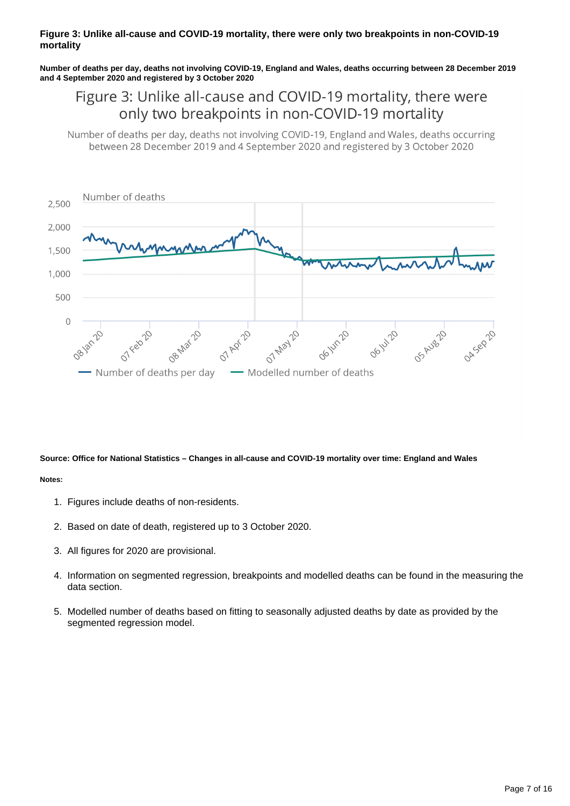#### **Figure 3: Unlike all-cause and COVID-19 mortality, there were only two breakpoints in non-COVID-19 mortality**

**Number of deaths per day, deaths not involving COVID-19, England and Wales, deaths occurring between 28 December 2019 and 4 September 2020 and registered by 3 October 2020**

### Figure 3: Unlike all-cause and COVID-19 mortality, there were only two breakpoints in non-COVID-19 mortality

Number of deaths per day, deaths not involving COVID-19, England and Wales, deaths occurring between 28 December 2019 and 4 September 2020 and registered by 3 October 2020



**Source: Office for National Statistics – Changes in all-cause and COVID-19 mortality over time: England and Wales**

#### **Notes:**

- 1. Figures include deaths of non-residents.
- 2. Based on date of death, registered up to 3 October 2020.
- 3. All figures for 2020 are provisional.
- 4. Information on segmented regression, breakpoints and modelled deaths can be found in the measuring the data section.
- 5. Modelled number of deaths based on fitting to seasonally adjusted deaths by date as provided by the segmented regression model.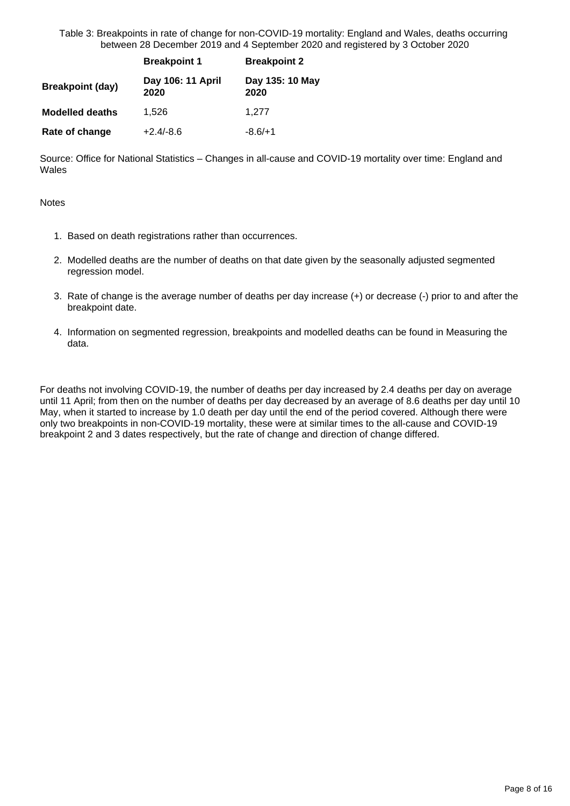Table 3: Breakpoints in rate of change for non-COVID-19 mortality: England and Wales, deaths occurring between 28 December 2019 and 4 September 2020 and registered by 3 October 2020

|                         | <b>Breakpoint 1</b>       | <b>Breakpoint 2</b>     |  |
|-------------------------|---------------------------|-------------------------|--|
| <b>Breakpoint (day)</b> | Day 106: 11 April<br>2020 | Day 135: 10 May<br>2020 |  |
| <b>Modelled deaths</b>  | 1,526                     | 1,277                   |  |
| Rate of change          | $+2.4/-8.6$               | $-8.6/+1$               |  |

Source: Office for National Statistics – Changes in all-cause and COVID-19 mortality over time: England and Wales

**Notes** 

- 1. Based on death registrations rather than occurrences.
- 2. Modelled deaths are the number of deaths on that date given by the seasonally adjusted segmented regression model.
- 3. Rate of change is the average number of deaths per day increase (+) or decrease (-) prior to and after the breakpoint date.
- 4. Information on segmented regression, breakpoints and modelled deaths can be found in Measuring the data.

For deaths not involving COVID-19, the number of deaths per day increased by 2.4 deaths per day on average until 11 April; from then on the number of deaths per day decreased by an average of 8.6 deaths per day until 10 May, when it started to increase by 1.0 death per day until the end of the period covered. Although there were only two breakpoints in non-COVID-19 mortality, these were at similar times to the all-cause and COVID-19 breakpoint 2 and 3 dates respectively, but the rate of change and direction of change differed.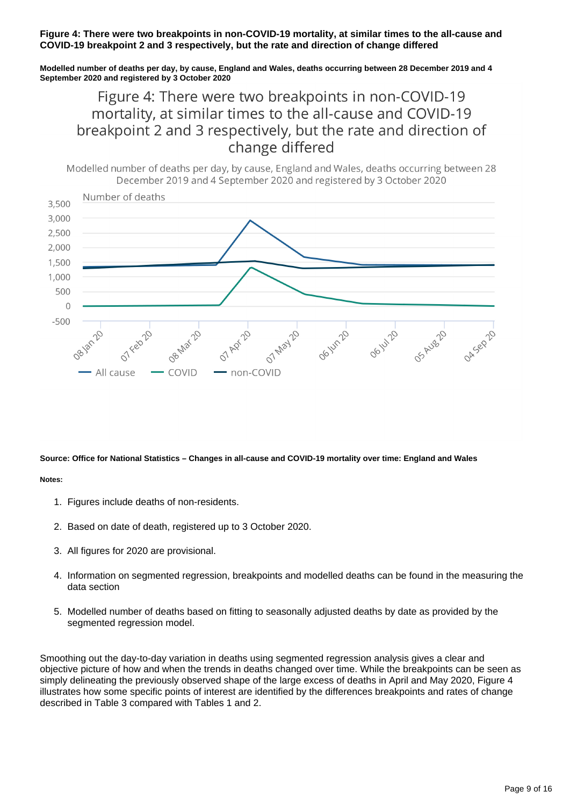#### **Figure 4: There were two breakpoints in non-COVID-19 mortality, at similar times to the all-cause and COVID-19 breakpoint 2 and 3 respectively, but the rate and direction of change differed**

**Modelled number of deaths per day, by cause, England and Wales, deaths occurring between 28 December 2019 and 4 September 2020 and registered by 3 October 2020**

### Figure 4: There were two breakpoints in non-COVID-19 mortality, at similar times to the all-cause and COVID-19 breakpoint 2 and 3 respectively, but the rate and direction of change differed

Modelled number of deaths per day, by cause, England and Wales, deaths occurring between 28 December 2019 and 4 September 2020 and registered by 3 October 2020



**Source: Office for National Statistics – Changes in all-cause and COVID-19 mortality over time: England and Wales**

#### **Notes:**

- 1. Figures include deaths of non-residents.
- 2. Based on date of death, registered up to 3 October 2020.
- 3. All figures for 2020 are provisional.
- 4. Information on segmented regression, breakpoints and modelled deaths can be found in the measuring the data section
- 5. Modelled number of deaths based on fitting to seasonally adjusted deaths by date as provided by the segmented regression model.

Smoothing out the day-to-day variation in deaths using segmented regression analysis gives a clear and objective picture of how and when the trends in deaths changed over time. While the breakpoints can be seen as simply delineating the previously observed shape of the large excess of deaths in April and May 2020, Figure 4 illustrates how some specific points of interest are identified by the differences breakpoints and rates of change described in Table 3 compared with Tables 1 and 2.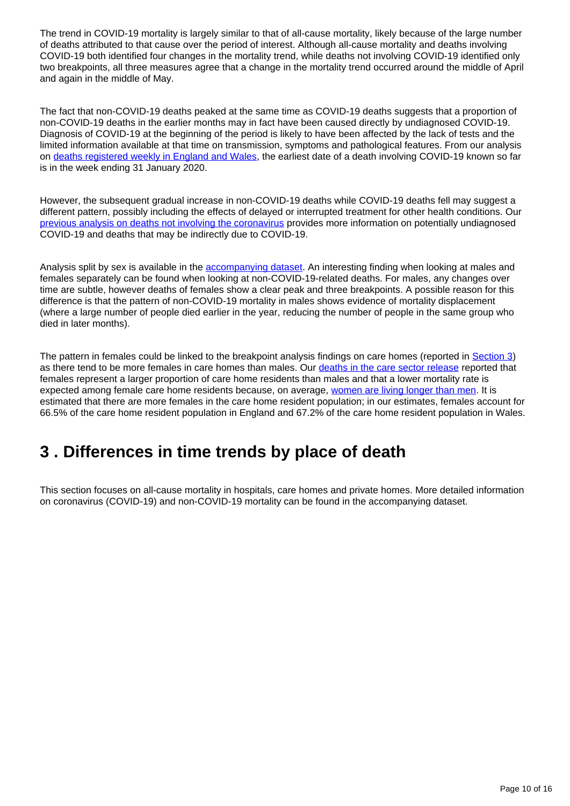The trend in COVID-19 mortality is largely similar to that of all-cause mortality, likely because of the large number of deaths attributed to that cause over the period of interest. Although all-cause mortality and deaths involving COVID-19 both identified four changes in the mortality trend, while deaths not involving COVID-19 identified only two breakpoints, all three measures agree that a change in the mortality trend occurred around the middle of April and again in the middle of May.

The fact that non-COVID-19 deaths peaked at the same time as COVID-19 deaths suggests that a proportion of non-COVID-19 deaths in the earlier months may in fact have been caused directly by undiagnosed COVID-19. Diagnosis of COVID-19 at the beginning of the period is likely to have been affected by the lack of tests and the limited information available at that time on transmission, symptoms and pathological features. From our analysis on [deaths registered weekly in England and Wales](https://www.ons.gov.uk/peoplepopulationandcommunity/birthsdeathsandmarriages/deaths/bulletins/deathsregisteredweeklyinenglandandwalesprovisional/latest#deaths-registered-by-place-of-occurrence), the earliest date of a death involving COVID-19 known so far is in the week ending 31 January 2020.

However, the subsequent gradual increase in non-COVID-19 deaths while COVID-19 deaths fell may suggest a different pattern, possibly including the effects of delayed or interrupted treatment for other health conditions. Our [previous analysis on deaths not involving the coronavirus](https://www.ons.gov.uk/peoplepopulationandcommunity/birthsdeathsandmarriages/deaths/articles/analysisofdeathregistrationsnotinvolvingcoronaviruscovid19englandandwales28december2019to1may2020/28december2019to10july2020) provides more information on potentially undiagnosed COVID-19 and deaths that may be indirectly due to COVID-19.

Analysis split by sex is available in the **[accompanying dataset](http://dataset)**. An interesting finding when looking at males and females separately can be found when looking at non-COVID-19-related deaths. For males, any changes over time are subtle, however deaths of females show a clear peak and three breakpoints. A possible reason for this difference is that the pattern of non-COVID-19 mortality in males shows evidence of mortality displacement (where a large number of people died earlier in the year, reducing the number of people in the same group who died in later months).

The pattern in females could be linked to the breakpoint analysis findings on care homes (reported in [Section 3\)](http://S3) as there tend to be more females in care homes than males. Our [deaths in the care sector release](https://www.ons.gov.uk/peoplepopulationandcommunity/birthsdeathsandmarriages/deaths/bulletins/deathsinthecaresectorenglandandwales/2019#characteristics-of-deaths-of-care-home-residents) reported that females represent a larger proportion of care home residents than males and that a lower mortality rate is expected among female care home residents because, on average, [women are living longer than men.](https://www.ons.gov.uk/peoplepopulationandcommunity/birthsdeathsandmarriages/lifeexpectancies/bulletins/nationallifetablesunitedkingdom/2017to2019) It is estimated that there are more females in the care home resident population; in our estimates, females account for 66.5% of the care home resident population in England and 67.2% of the care home resident population in Wales.

## <span id="page-9-0"></span>**3 . Differences in time trends by place of death**

This section focuses on all-cause mortality in hospitals, care homes and private homes. More detailed information on coronavirus (COVID-19) and non-COVID-19 mortality can be found in the accompanying dataset.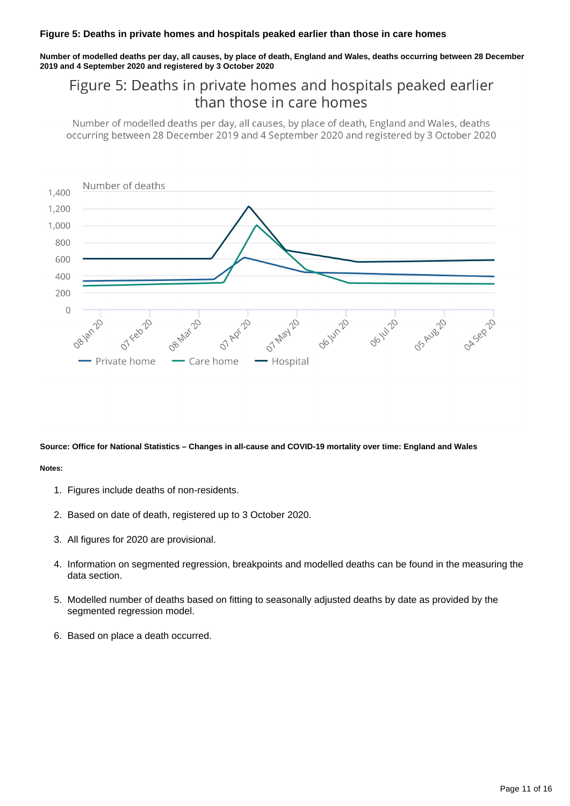#### **Figure 5: Deaths in private homes and hospitals peaked earlier than those in care homes**

**Number of modelled deaths per day, all causes, by place of death, England and Wales, deaths occurring between 28 December 2019 and 4 September 2020 and registered by 3 October 2020**

### Figure 5: Deaths in private homes and hospitals peaked earlier than those in care homes

Number of modelled deaths per day, all causes, by place of death, England and Wales, deaths occurring between 28 December 2019 and 4 September 2020 and registered by 3 October 2020



**Source: Office for National Statistics – Changes in all-cause and COVID-19 mortality over time: England and Wales**

#### **Notes:**

- 1. Figures include deaths of non-residents.
- 2. Based on date of death, registered up to 3 October 2020.
- 3. All figures for 2020 are provisional.
- 4. Information on segmented regression, breakpoints and modelled deaths can be found in the measuring the data section.
- 5. Modelled number of deaths based on fitting to seasonally adjusted deaths by date as provided by the segmented regression model.
- 6. Based on place a death occurred.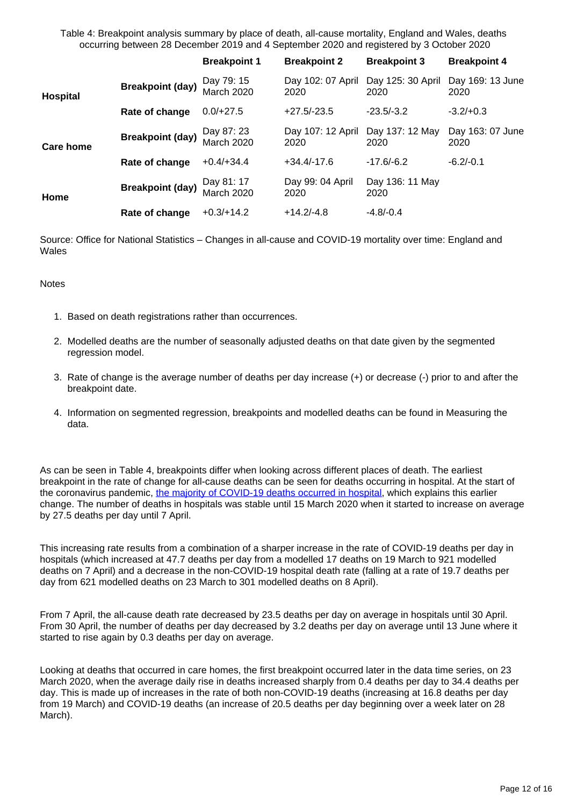Table 4: Breakpoint analysis summary by place of death, all-cause mortality, England and Wales, deaths occurring between 28 December 2019 and 4 September 2020 and registered by 3 October 2020

|                 |                         | <b>Breakpoint 1</b>             | <b>Breakpoint 2</b>       | <b>Breakpoint 3</b>       | <b>Breakpoint 4</b>      |
|-----------------|-------------------------|---------------------------------|---------------------------|---------------------------|--------------------------|
| <b>Hospital</b> | <b>Breakpoint (day)</b> | Day 79: 15<br><b>March 2020</b> | Day 102: 07 April<br>2020 | Day 125: 30 April<br>2020 | Day 169: 13 June<br>2020 |
|                 | Rate of change          | $0.0/+27.5$                     | $+27.5/-23.5$             | $-23.5/-3.2$              | $-3.2/+0.3$              |
| Care home       | <b>Breakpoint (day)</b> | Day 87: 23<br><b>March 2020</b> | Day 107: 12 April<br>2020 | Day 137: 12 May<br>2020   | Day 163: 07 June<br>2020 |
|                 | Rate of change          | $+0.4/+34.4$                    | $+34.4/-17.6$             | $-17.6/-6.2$              | $-6.2/-0.1$              |
| Home            | <b>Breakpoint (day)</b> | Day 81: 17<br><b>March 2020</b> | Day 99: 04 April<br>2020  | Day 136: 11 May<br>2020   |                          |
|                 | Rate of change          | $+0.3/+14.2$                    | $+14.2/-4.8$              | $-4.8/-0.4$               |                          |

Source: Office for National Statistics – Changes in all-cause and COVID-19 mortality over time: England and **Wales** 

#### **Notes**

- 1. Based on death registrations rather than occurrences.
- 2. Modelled deaths are the number of seasonally adjusted deaths on that date given by the segmented regression model.
- 3. Rate of change is the average number of deaths per day increase (+) or decrease (-) prior to and after the breakpoint date.
- 4. Information on segmented regression, breakpoints and modelled deaths can be found in Measuring the data.

As can be seen in Table 4, breakpoints differ when looking across different places of death. The earliest breakpoint in the rate of change for all-cause deaths can be seen for deaths occurring in hospital. At the start of the coronavirus pandemic, [the majority of COVID-19 deaths occurred in hospital,](https://www.ons.gov.uk/peoplepopulationandcommunity/birthsdeathsandmarriages/deaths/bulletins/deathsregisteredweeklyinenglandandwalesprovisional/latest#deaths-registered-by-place-of-occurrence) which explains this earlier change. The number of deaths in hospitals was stable until 15 March 2020 when it started to increase on average by 27.5 deaths per day until 7 April.

This increasing rate results from a combination of a sharper increase in the rate of COVID-19 deaths per day in hospitals (which increased at 47.7 deaths per day from a modelled 17 deaths on 19 March to 921 modelled deaths on 7 April) and a decrease in the non-COVID-19 hospital death rate (falling at a rate of 19.7 deaths per day from 621 modelled deaths on 23 March to 301 modelled deaths on 8 April).

From 7 April, the all-cause death rate decreased by 23.5 deaths per day on average in hospitals until 30 April. From 30 April, the number of deaths per day decreased by 3.2 deaths per day on average until 13 June where it started to rise again by 0.3 deaths per day on average.

Looking at deaths that occurred in care homes, the first breakpoint occurred later in the data time series, on 23 March 2020, when the average daily rise in deaths increased sharply from 0.4 deaths per day to 34.4 deaths per day. This is made up of increases in the rate of both non-COVID-19 deaths (increasing at 16.8 deaths per day from 19 March) and COVID-19 deaths (an increase of 20.5 deaths per day beginning over a week later on 28 March).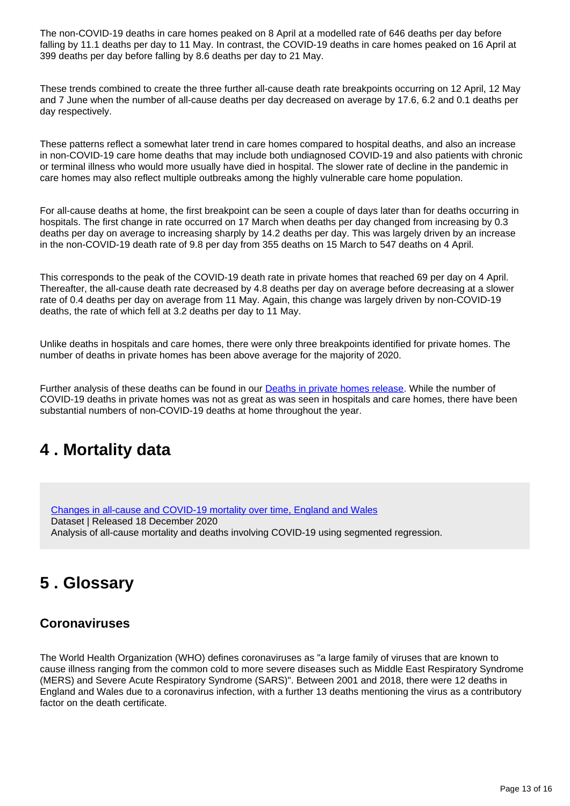The non-COVID-19 deaths in care homes peaked on 8 April at a modelled rate of 646 deaths per day before falling by 11.1 deaths per day to 11 May. In contrast, the COVID-19 deaths in care homes peaked on 16 April at 399 deaths per day before falling by 8.6 deaths per day to 21 May.

These trends combined to create the three further all-cause death rate breakpoints occurring on 12 April, 12 May and 7 June when the number of all-cause deaths per day decreased on average by 17.6, 6.2 and 0.1 deaths per day respectively.

These patterns reflect a somewhat later trend in care homes compared to hospital deaths, and also an increase in non-COVID-19 care home deaths that may include both undiagnosed COVID-19 and also patients with chronic or terminal illness who would more usually have died in hospital. The slower rate of decline in the pandemic in care homes may also reflect multiple outbreaks among the highly vulnerable care home population.

For all-cause deaths at home, the first breakpoint can be seen a couple of days later than for deaths occurring in hospitals. The first change in rate occurred on 17 March when deaths per day changed from increasing by 0.3 deaths per day on average to increasing sharply by 14.2 deaths per day. This was largely driven by an increase in the non-COVID-19 death rate of 9.8 per day from 355 deaths on 15 March to 547 deaths on 4 April.

This corresponds to the peak of the COVID-19 death rate in private homes that reached 69 per day on 4 April. Thereafter, the all-cause death rate decreased by 4.8 deaths per day on average before decreasing at a slower rate of 0.4 deaths per day on average from 11 May. Again, this change was largely driven by non-COVID-19 deaths, the rate of which fell at 3.2 deaths per day to 11 May.

Unlike deaths in hospitals and care homes, there were only three breakpoints identified for private homes. The number of deaths in private homes has been above average for the majority of 2020.

Further analysis of these deaths can be found in our **Deaths in private homes release**. While the number of COVID-19 deaths in private homes was not as great as was seen in hospitals and care homes, there have been substantial numbers of non-COVID-19 deaths at home throughout the year.

## <span id="page-12-0"></span>**4 . Mortality data**

[Changes in all-cause and COVID-19 mortality over time, England and Wales](http://dataset) Dataset | Released 18 December 2020 Analysis of all-cause mortality and deaths involving COVID-19 using segmented regression.

## <span id="page-12-1"></span>**5 . Glossary**

### **Coronaviruses**

The World Health Organization (WHO) defines coronaviruses as "a large family of viruses that are known to cause illness ranging from the common cold to more severe diseases such as Middle East Respiratory Syndrome (MERS) and Severe Acute Respiratory Syndrome (SARS)". Between 2001 and 2018, there were 12 deaths in England and Wales due to a coronavirus infection, with a further 13 deaths mentioning the virus as a contributory factor on the death certificate.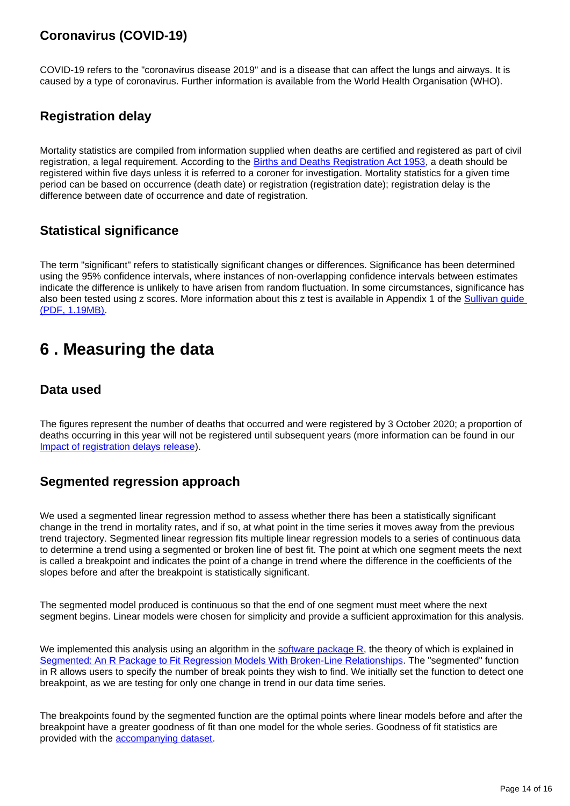### **Coronavirus (COVID-19)**

COVID-19 refers to the "coronavirus disease 2019" and is a disease that can affect the lungs and airways. It is caused by a type of coronavirus. Further information is available from the World Health Organisation (WHO).

### **Registration delay**

Mortality statistics are compiled from information supplied when deaths are certified and registered as part of civil registration, a legal requirement. According to the [Births and Deaths Registration Act 1953](http://www.legislation.gov.uk/ukpga/Eliz2/1-2/20), a death should be registered within five days unless it is referred to a coroner for investigation. Mortality statistics for a given time period can be based on occurrence (death date) or registration (registration date); registration delay is the difference between date of occurrence and date of registration.

### **Statistical significance**

The term "significant" refers to statistically significant changes or differences. Significance has been determined using the 95% confidence intervals, where instances of non-overlapping confidence intervals between estimates indicate the difference is unlikely to have arisen from random fluctuation. In some circumstances, significance has also been tested using z scores. More information about this z test is available in Appendix 1 of the Sullivan guide [\(PDF, 1.19MB\)](http://www.eurohex.eu/pdf/Sullivan_guide_pre%20final_oct%202014.pdf).

## <span id="page-13-0"></span>**6 . Measuring the data**

### **Data used**

The figures represent the number of deaths that occurred and were registered by 3 October 2020; a proportion of deaths occurring in this year will not be registered until subsequent years (more information can be found in our [Impact of registration delays release\)](https://www.ons.gov.uk/peoplepopulationandcommunity/birthsdeathsandmarriages/deaths/articles/impactofregistrationdelaysonmortalitystatisticsinenglandandwales/latest).

### **Segmented regression approach**

We used a segmented linear regression method to assess whether there has been a statistically significant change in the trend in mortality rates, and if so, at what point in the time series it moves away from the previous trend trajectory. Segmented linear regression fits multiple linear regression models to a series of continuous data to determine a trend using a segmented or broken line of best fit. The point at which one segment meets the next is called a breakpoint and indicates the point of a change in trend where the difference in the coefficients of the slopes before and after the breakpoint is statistically significant.

The segmented model produced is continuous so that the end of one segment must meet where the next segment begins. Linear models were chosen for simplicity and provide a sufficient approximation for this analysis.

We implemented this analysis using an algorithm in the software package  $R$ , the theory of which is explained in [Segmented: An R Package to Fit Regression Models With Broken-Line Relationships](https://www.researchgate.net/publication/234092680_Segmented_An_R_Package_to_Fit_Regression_Models_With_Broken-Line_Relationships). The "segmented" function in R allows users to specify the number of break points they wish to find. We initially set the function to detect one breakpoint, as we are testing for only one change in trend in our data time series.

The breakpoints found by the segmented function are the optimal points where linear models before and after the breakpoint have a greater goodness of fit than one model for the whole series. Goodness of fit statistics are provided with the [accompanying dataset](http://dataset).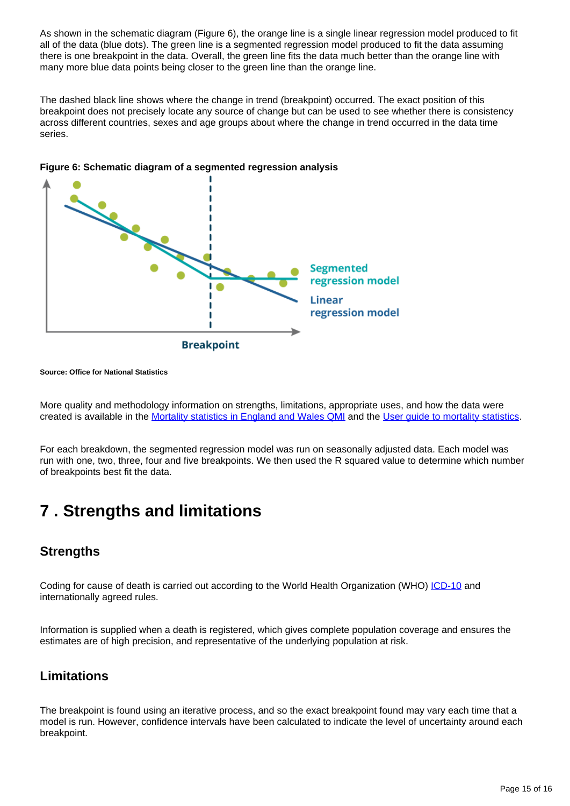As shown in the schematic diagram (Figure 6), the orange line is a single linear regression model produced to fit all of the data (blue dots). The green line is a segmented regression model produced to fit the data assuming there is one breakpoint in the data. Overall, the green line fits the data much better than the orange line with many more blue data points being closer to the green line than the orange line.

The dashed black line shows where the change in trend (breakpoint) occurred. The exact position of this breakpoint does not precisely locate any source of change but can be used to see whether there is consistency across different countries, sexes and age groups about where the change in trend occurred in the data time series.



**Figure 6: Schematic diagram of a segmented regression analysis**

**Source: Office for National Statistics**

More quality and methodology information on strengths, limitations, appropriate uses, and how the data were created is available in the [Mortality statistics in England and Wales QMI](https://www.ons.gov.uk/peoplepopulationandcommunity/birthsdeathsandmarriages/deaths/methodologies/mortalitystatisticsinenglandandwalesqmi) and the [User guide to mortality statistics](https://www.ons.gov.uk/peoplepopulationandcommunity/birthsdeathsandmarriages/deaths/methodologies/userguidetomortalitystatisticsjuly2017).

For each breakdown, the segmented regression model was run on seasonally adjusted data. Each model was run with one, two, three, four and five breakpoints. We then used the R squared value to determine which number of breakpoints best fit the data.

## <span id="page-14-0"></span>**7 . Strengths and limitations**

### **Strengths**

Coding for cause of death is carried out according to the World Health Organization (WHO) [ICD-10](https://icd.who.int/browse10/2016/en) and internationally agreed rules.

Information is supplied when a death is registered, which gives complete population coverage and ensures the estimates are of high precision, and representative of the underlying population at risk.

### **Limitations**

The breakpoint is found using an iterative process, and so the exact breakpoint found may vary each time that a model is run. However, confidence intervals have been calculated to indicate the level of uncertainty around each breakpoint.